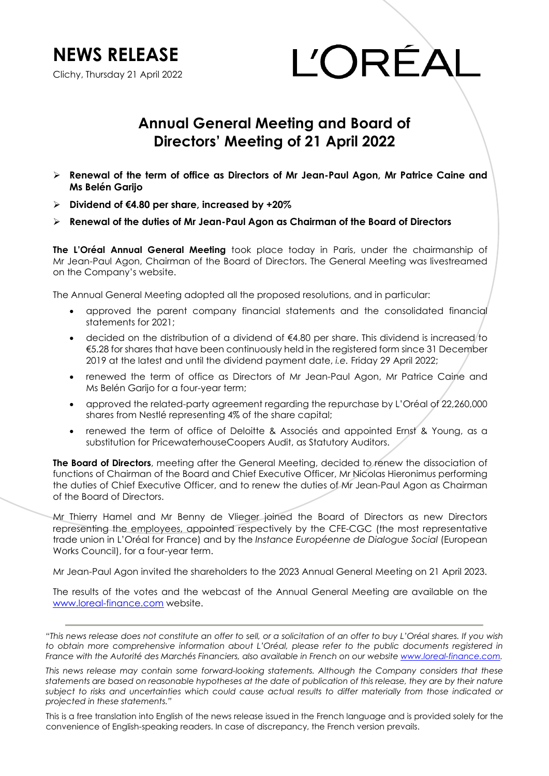**NEWS RELEASE** 

Clichy, Thursday 21 April 2022

L'ORÉA

## **Annual General Meeting and Board of Directors' Meeting of 21 April 2022**

- **Renewal of the term of office as Directors of Mr Jean-Paul Agon, Mr Patrice Caine and Ms Belén Garijo**
- **Dividend of €4.80 per share, increased by +20%**
- **Renewal of the duties of Mr Jean-Paul Agon as Chairman of the Board of Directors**

**The L'Oréal Annual General Meeting** took place today in Paris, under the chairmanship of Mr Jean-Paul Agon, Chairman of the Board of Directors. The General Meeting was livestreamed on the Company's website.

The Annual General Meeting adopted all the proposed resolutions, and in particular:

- approved the parent company financial statements and the consolidated financial statements for 2021;
- decided on the distribution of a dividend of €4.80 per share. This dividend is increased to €5.28 for shares that have been continuously held in the registered form since 31 December 2019 at the latest and until the dividend payment date, *i.e.* Friday 29 April 2022;
- renewed the term of office as Directors of Mr Jean-Paul Agon, Mr Patrice Caine and Ms Belén Garijo for a four-year term;
- approved the related-party agreement regarding the repurchase by L'Oréal of 22,260,000 shares from Nestlé representing 4% of the share capital;
- renewed the term of office of Deloitte & Associés and appointed Ernst & Young, as a substitution for PricewaterhouseCoopers Audit, as Statutory Auditors.

**The Board of Directors**, meeting after the General Meeting, decided to renew the dissociation of functions of Chairman of the Board and Chief Executive Officer, Mr Nicolas Hieronimus performing the duties of Chief Executive Officer, and to renew the duties of Mr Jean-Paul Agon as Chairman of the Board of Directors.

Mr Thierry Hamel and Mr Benny de Vlieger joined the Board of Directors as new Directors representing the employees, appointed respectively by the CFE-CGC (the most representative trade union in L'Oréal for France) and by the *Instance Européenne de Dialogue Social* (European Works Council), for a four-year term.

Mr Jean-Paul Agon invited the shareholders to the 2023 Annual General Meeting on 21 April 2023.

The results of the votes and the webcast of the Annual General Meeting are available on the [www.loreal-finance.com](http://www.loreal-finance.com/) website.

*"This news release does not constitute an offer to sell, or a solicitation of an offer to buy L'Oréal shares. If you wish*  to obtain more comprehensive information about L'Oréal, please refer to the public documents registered in *France with the Autorité des Marchés Financiers, also available in French on our websit[e www.loreal-finance.com.](http://www.loreal-finance.com/)*

*This news release may contain some forward-looking statements. Although the Company considers that these statements are based on reasonable hypotheses at the date of publication of this release, they are by their nature subject to risks and uncertainties which could cause actual results to differ materially from those indicated or projected in these statements."*

This is a free translation into English of the news release issued in the French language and is provided solely for the convenience of English-speaking readers. In case of discrepancy, the French version prevails.